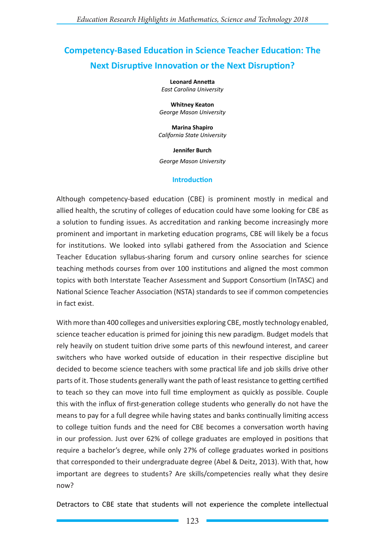# **Competency-Based Education in Science Teacher Education: The Next Disruptive Innovation or the Next Disruption?**

**Leonard Annetta** *East Carolina University*

**Whitney Keaton**  *George Mason University*

**Marina Shapiro**  *California State University*

**Jennifer Burch** *George Mason University*

### **Introduction**

Although competency-based education (CBE) is prominent mostly in medical and allied health, the scrutiny of colleges of education could have some looking for CBE as a solution to funding issues. As accreditation and ranking become increasingly more prominent and important in marketing education programs, CBE will likely be a focus for institutions. We looked into syllabi gathered from the Association and Science Teacher Education syllabus-sharing forum and cursory online searches for science teaching methods courses from over 100 institutions and aligned the most common topics with both Interstate Teacher Assessment and Support Consortium (InTASC) and National Science Teacher Association (NSTA) standards to see if common competencies in fact exist.

With more than 400 colleges and universities exploring CBE, mostly technology enabled, science teacher education is primed for joining this new paradigm. Budget models that rely heavily on student tuition drive some parts of this newfound interest, and career switchers who have worked outside of education in their respective discipline but decided to become science teachers with some practical life and job skills drive other parts of it. Those students generally want the path of least resistance to getting certified to teach so they can move into full time employment as quickly as possible. Couple this with the influx of first-generation college students who generally do not have the means to pay for a full degree while having states and banks continually limiting access to college tuition funds and the need for CBE becomes a conversation worth having in our profession. Just over 62% of college graduates are employed in positions that require a bachelor's degree, while only 27% of college graduates worked in positions that corresponded to their undergraduate degree (Abel & Deitz, 2013). With that, how important are degrees to students? Are skills/competencies really what they desire now?

Detractors to CBE state that students will not experience the complete intellectual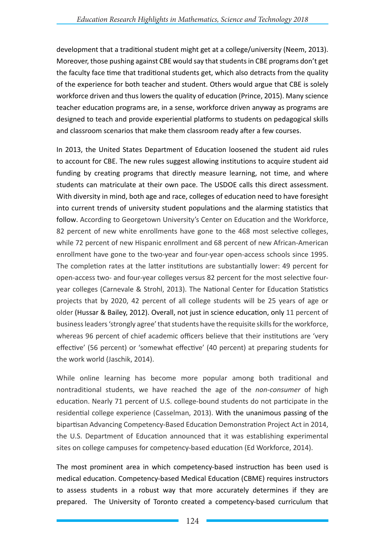development that a traditional student might get at a college/university (Neem, 2013). Moreover, those pushing against CBE would say that students in CBE programs don't get the faculty face time that traditional students get, which also detracts from the quality of the experience for both teacher and student. Others would argue that CBE is solely workforce driven and thus lowers the quality of education (Prince, 2015). Many science teacher education programs are, in a sense, workforce driven anyway as programs are designed to teach and provide experiential platforms to students on pedagogical skills and classroom scenarios that make them classroom ready after a few courses.

In 2013, the United States Department of Education loosened the student aid rules to account for CBE. The new rules suggest allowing institutions to acquire student aid funding by creating programs that directly measure learning, not time, and where students can matriculate at their own pace. The USDOE calls this direct assessment. With diversity in mind, both age and race, colleges of education need to have foresight into current trends of university student populations and the alarming statistics that follow. According to Georgetown University's Center on Education and the Workforce, 82 percent of new white enrollments have gone to the 468 most selective colleges, while 72 percent of new Hispanic enrollment and 68 percent of new African-American enrollment have gone to the two-year and four-year open-access schools since 1995. The completion rates at the latter institutions are substantially lower: 49 percent for open-access two- and four-year colleges versus 82 percent for the most selective fouryear colleges (Carnevale & Strohl, 2013). The National Center for Education Statistics projects that by 2020, 42 percent of all college students will be 25 years of age or older (Hussar & Bailey, 2012). Overall, not just in science education, only 11 percent of business leaders 'strongly agree' that students have the requisite skills for the workforce, whereas 96 percent of chief academic officers believe that their institutions are 'very effective' (56 percent) or 'somewhat effective' (40 percent) at preparing students for the work world (Jaschik, 2014).

While online learning has become more popular among both traditional and nontraditional students, we have reached the age of the *non-consumer* of high education. Nearly 71 percent of U.S. college-bound students do not participate in the residential college experience (Casselman, 2013). With the unanimous passing of the bipartisan Advancing Competency-Based Education Demonstration Project Act in 2014, the U.S. Department of Education announced that it was establishing experimental sites on college campuses for competency-based education (Ed Workforce, 2014).

The most prominent area in which competency-based instruction has been used is medical education. Competency-based Medical Education (CBME) requires instructors to assess students in a robust way that more accurately determines if they are prepared. The University of Toronto created a competency-based curriculum that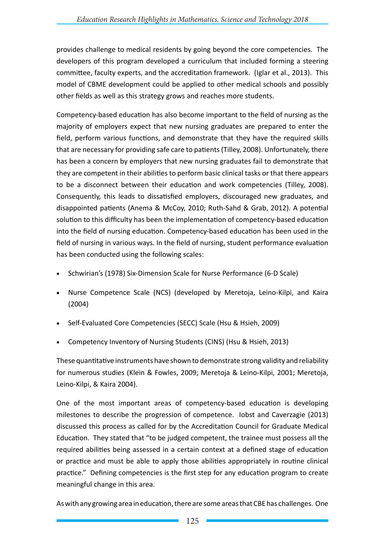provides challenge to medical residents by going beyond the core competencies. The developers of this program developed a curriculum that included forming a steering committee, faculty experts, and the accreditation framework. (Iglar et al., 2013). This model of CBME development could be applied to other medical schools and possibly other fields as well as this strategy grows and reaches more students.

Competency-based education has also become important to the field of nursing as the majority of employers expect that new nursing graduates are prepared to enter the field, perform various functions, and demonstrate that they have the required skills that are necessary for providing safe care to patients (Tilley, 2008). Unfortunately, there has been a concern by employers that new nursing graduates fail to demonstrate that they are competent in their abilities to perform basic clinical tasks or that there appears to be a disconnect between their education and work competencies (Tilley, 2008). Consequently, this leads to dissatisfied employers, discouraged new graduates, and disappointed patients (Anema & McCoy, 2010; Ruth-Sahd & Grab, 2012). A potential solution to this difficulty has been the implementation of competency-based education into the field of nursing education. Competency-based education has been used in the field of nursing in various ways. In the field of nursing, student performance evaluation has been conducted using the following scales:

- Schwirian's (1978) Six-Dimension Scale for Nurse Performance (6-D Scale)
- Nurse Competence Scale (NCS) (developed by Meretoja, Leino-Kilpi, and Kaira (2004)
- Self-Evaluated Core Competencies (SECC) Scale (Hsu & Hsieh, 2009)
- Competency Inventory of Nursing Students (CINS) (Hsu & Hsieh, 2013)

These quantitative instruments have shown to demonstrate strong validity and reliability for numerous studies (Klein & Fowles, 2009; Meretoja & Leino-Kilpi, 2001; Meretoja, Leino-Kilpi, & Kaira 2004).

One of the most important areas of competency-based education is developing milestones to describe the progression of competence. Iobst and Caverzagie (2013) discussed this process as called for by the Accreditation Council for Graduate Medical Education. They stated that "to be judged competent, the trainee must possess all the required abilities being assessed in a certain context at a defined stage of education or practice and must be able to apply those abilities appropriately in routine clinical practice." Defining competencies is the first step for any education program to create meaningful change in this area.

As with any growing area in education, there are some areas that CBE has challenges. One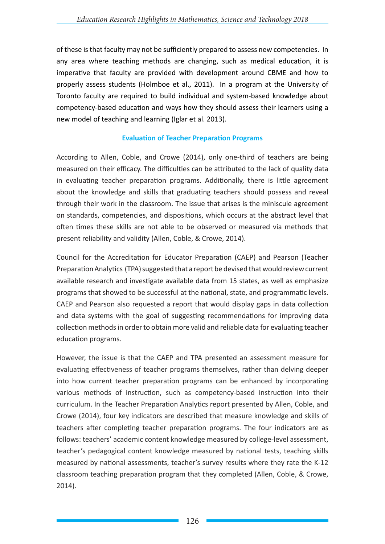of these is that faculty may not be sufficiently prepared to assess new competencies. In any area where teaching methods are changing, such as medical education, it is imperative that faculty are provided with development around CBME and how to properly assess students (Holmboe et al., 2011). In a program at the University of Toronto faculty are required to build individual and system-based knowledge about competency-based education and ways how they should assess their learners using a new model of teaching and learning (Iglar et al. 2013).

## **Evaluation of Teacher Preparation Programs**

According to Allen, Coble, and Crowe (2014), only one-third of teachers are being measured on their efficacy. The difficulties can be attributed to the lack of quality data in evaluating teacher preparation programs. Additionally, there is little agreement about the knowledge and skills that graduating teachers should possess and reveal through their work in the classroom. The issue that arises is the miniscule agreement on standards, competencies, and dispositions, which occurs at the abstract level that often times these skills are not able to be observed or measured via methods that present reliability and validity (Allen, Coble, & Crowe, 2014).

Council for the Accreditation for Educator Preparation (CAEP) and Pearson (Teacher Preparation Analytics (TPA) suggested that a report be devised that would review current available research and investigate available data from 15 states, as well as emphasize programs that showed to be successful at the national, state, and programmatic levels. CAEP and Pearson also requested a report that would display gaps in data collection and data systems with the goal of suggesting recommendations for improving data collection methods in order to obtain more valid and reliable data for evaluating teacher education programs.

However, the issue is that the CAEP and TPA presented an assessment measure for evaluating effectiveness of teacher programs themselves, rather than delving deeper into how current teacher preparation programs can be enhanced by incorporating various methods of instruction, such as competency-based instruction into their curriculum. In the Teacher Preparation Analytics report presented by Allen, Coble, and Crowe (2014), four key indicators are described that measure knowledge and skills of teachers after completing teacher preparation programs. The four indicators are as follows: teachers' academic content knowledge measured by college-level assessment, teacher's pedagogical content knowledge measured by national tests, teaching skills measured by national assessments, teacher's survey results where they rate the K-12 classroom teaching preparation program that they completed (Allen, Coble, & Crowe, 2014).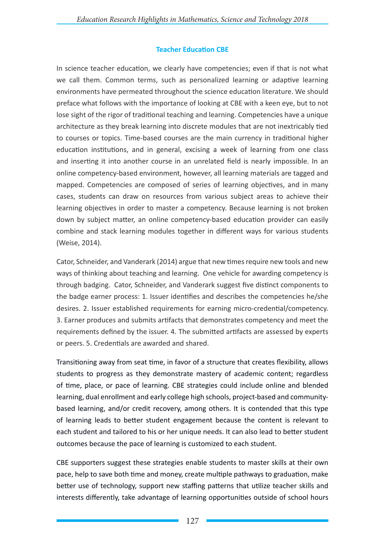## **Teacher Education CBE**

In science teacher education, we clearly have competencies; even if that is not what we call them. Common terms, such as personalized learning or adaptive learning environments have permeated throughout the science education literature. We should preface what follows with the importance of looking at CBE with a keen eye, but to not lose sight of the rigor of traditional teaching and learning. Competencies have a unique architecture as they break learning into discrete modules that are not inextricably tied to courses or topics. Time-based courses are the main currency in traditional higher education institutions, and in general, excising a week of learning from one class and inserting it into another course in an unrelated field is nearly impossible. In an online competency-based environment, however, all learning materials are tagged and mapped. Competencies are composed of series of learning objectives, and in many cases, students can draw on resources from various subject areas to achieve their learning objectives in order to master a competency. Because learning is not broken down by subject matter, an online competency-based education provider can easily combine and stack learning modules together in different ways for various students (Weise, 2014).

Cator, Schneider, and Vanderark (2014) argue that new times require new tools and new ways of thinking about teaching and learning. One vehicle for awarding competency is through badging. Cator, Schneider, and Vanderark suggest five distinct components to the badge earner process: 1. Issuer identifies and describes the competencies he/she desires. 2. Issuer established requirements for earning micro-credential/competency. 3. Earner produces and submits artifacts that demonstrates competency and meet the requirements defined by the issuer. 4. The submitted artifacts are assessed by experts or peers. 5. Credentials are awarded and shared.

Transitioning away from seat time, in favor of a structure that creates flexibility, allows students to progress as they demonstrate mastery of academic content; regardless of time, place, or pace of learning. CBE strategies could include online and blended learning, dual enrollment and early college high schools, project-based and communitybased learning, and/or credit recovery, among others. It is contended that this type of learning leads to better student engagement because the content is relevant to each student and tailored to his or her unique needs. It can also lead to better student outcomes because the pace of learning is customized to each student.

CBE supporters suggest these strategies enable students to master skills at their own pace, help to save both time and money, create multiple pathways to graduation, make better use of technology, support new staffing patterns that utilize teacher skills and interests differently, take advantage of learning opportunities outside of school hours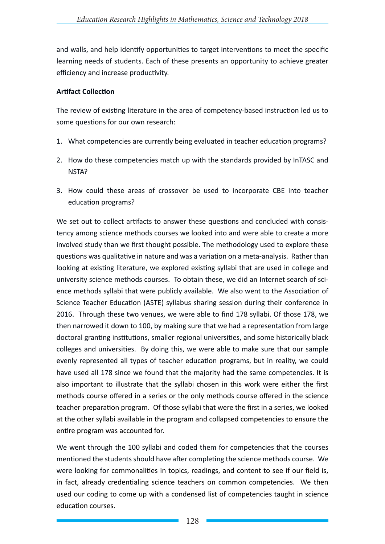and walls, and help identify opportunities to target interventions to meet the specific learning needs of students. Each of these presents an opportunity to achieve greater efficiency and increase productivity.

### **Artifact Collection**

The review of existing literature in the area of competency-based instruction led us to some questions for our own research:

- 1. What competencies are currently being evaluated in teacher education programs?
- 2. How do these competencies match up with the standards provided by InTASC and NSTA?
- 3. How could these areas of crossover be used to incorporate CBE into teacher education programs?

We set out to collect artifacts to answer these questions and concluded with consistency among science methods courses we looked into and were able to create a more involved study than we first thought possible. The methodology used to explore these questions was qualitative in nature and was a variation on a meta-analysis. Rather than looking at existing literature, we explored existing syllabi that are used in college and university science methods courses. To obtain these, we did an Internet search of science methods syllabi that were publicly available. We also went to the Association of Science Teacher Education (ASTE) syllabus sharing session during their conference in 2016. Through these two venues, we were able to find 178 syllabi. Of those 178, we then narrowed it down to 100, by making sure that we had a representation from large doctoral granting institutions, smaller regional universities, and some historically black colleges and universities. By doing this, we were able to make sure that our sample evenly represented all types of teacher education programs, but in reality, we could have used all 178 since we found that the majority had the same competencies. It is also important to illustrate that the syllabi chosen in this work were either the first methods course offered in a series or the only methods course offered in the science teacher preparation program. Of those syllabi that were the first in a series, we looked at the other syllabi available in the program and collapsed competencies to ensure the entire program was accounted for.

We went through the 100 syllabi and coded them for competencies that the courses mentioned the students should have after completing the science methods course. We were looking for commonalities in topics, readings, and content to see if our field is, in fact, already credentialing science teachers on common competencies. We then used our coding to come up with a condensed list of competencies taught in science education courses.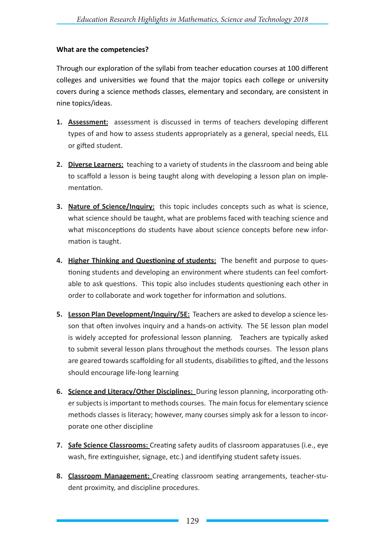## **What are the competencies?**

Through our exploration of the syllabi from teacher education courses at 100 different colleges and universities we found that the major topics each college or university covers during a science methods classes, elementary and secondary, are consistent in nine topics/ideas.

- **1. Assessment:** assessment is discussed in terms of teachers developing different types of and how to assess students appropriately as a general, special needs, ELL or gifted student.
- **2. Diverse Learners:** teaching to a variety of students in the classroom and being able to scaffold a lesson is being taught along with developing a lesson plan on implementation.
- **3. Nature of Science/Inquiry:** this topic includes concepts such as what is science, what science should be taught, what are problems faced with teaching science and what misconceptions do students have about science concepts before new information is taught.
- **4. Higher Thinking and Questioning of students:** The benefit and purpose to questioning students and developing an environment where students can feel comfortable to ask questions. This topic also includes students questioning each other in order to collaborate and work together for information and solutions.
- **5. Lesson Plan Development/Inquiry/5E:** Teachers are asked to develop a science lesson that often involves inquiry and a hands-on activity. The 5E lesson plan model is widely accepted for professional lesson planning. Teachers are typically asked to submit several lesson plans throughout the methods courses. The lesson plans are geared towards scaffolding for all students, disabilities to gifted, and the lessons should encourage life-long learning
- **6. Science and Literacy/Other Disciplines:** During lesson planning, incorporating other subjects is important to methods courses. The main focus for elementary science methods classes is literacy; however, many courses simply ask for a lesson to incorporate one other discipline
- **7. Safe Science Classrooms:** Creating safety audits of classroom apparatuses (i.e., eye wash, fire extinguisher, signage, etc.) and identifying student safety issues.
- **8. Classroom Management:** Creating classroom seating arrangements, teacher-student proximity, and discipline procedures.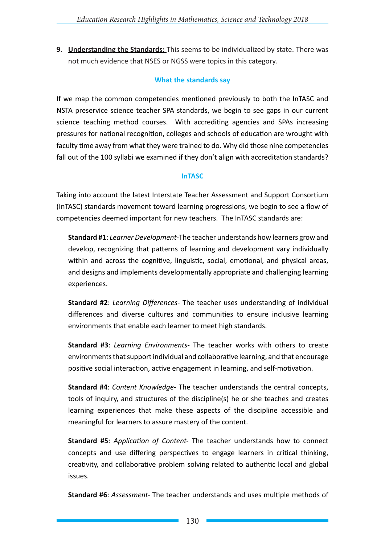**9. Understanding the Standards:** This seems to be individualized by state. There was not much evidence that NSES or NGSS were topics in this category.

## **What the standards say**

If we map the common competencies mentioned previously to both the InTASC and NSTA preservice science teacher SPA standards, we begin to see gaps in our current science teaching method courses. With accrediting agencies and SPAs increasing pressures for national recognition, colleges and schools of education are wrought with faculty time away from what they were trained to do. Why did those nine competencies fall out of the 100 syllabi we examined if they don't align with accreditation standards?

## **InTASC**

Taking into account the latest Interstate Teacher Assessment and Support Consortium (InTASC) standards movement toward learning progressions, we begin to see a flow of competencies deemed important for new teachers. The InTASC standards are:

**Standard #1**: *Learner Development*-The teacher understands how learners grow and develop, recognizing that patterns of learning and development vary individually within and across the cognitive, linguistic, social, emotional, and physical areas, and designs and implements developmentally appropriate and challenging learning experiences.

**Standard #2**: *Learning Differences*- The teacher uses understanding of individual differences and diverse cultures and communities to ensure inclusive learning environments that enable each learner to meet high standards.

**Standard #3**: *Learning Environments-* The teacher works with others to create environments that support individual and collaborative learning, and that encourage positive social interaction, active engagement in learning, and self-motivation.

**Standard #4**: *Content Knowledge-* The teacher understands the central concepts, tools of inquiry, and structures of the discipline(s) he or she teaches and creates learning experiences that make these aspects of the discipline accessible and meaningful for learners to assure mastery of the content.

**Standard #5**: *Application of Content-* The teacher understands how to connect concepts and use differing perspectives to engage learners in critical thinking, creativity, and collaborative problem solving related to authentic local and global issues.

**Standard #6**: *Assessment-* The teacher understands and uses multiple methods of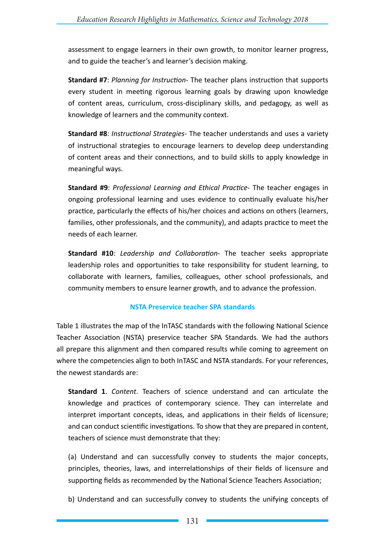assessment to engage learners in their own growth, to monitor learner progress, and to guide the teacher's and learner's decision making.

**Standard #7**: *Planning for Instruction*- The teacher plans instruction that supports every student in meeting rigorous learning goals by drawing upon knowledge of content areas, curriculum, cross-disciplinary skills, and pedagogy, as well as knowledge of learners and the community context.

**Standard #8**: *Instructional Strategies*- The teacher understands and uses a variety of instructional strategies to encourage learners to develop deep understanding of content areas and their connections, and to build skills to apply knowledge in meaningful ways.

**Standard #9**: *Professional Learning and Ethical Practice*- The teacher engages in ongoing professional learning and uses evidence to continually evaluate his/her practice, particularly the effects of his/her choices and actions on others (learners, families, other professionals, and the community), and adapts practice to meet the needs of each learner.

**Standard #10**: *Leadership and Collaboration*- The teacher seeks appropriate leadership roles and opportunities to take responsibility for student learning, to collaborate with learners, families, colleagues, other school professionals, and community members to ensure learner growth, and to advance the profession.

### **NSTA Preservice teacher SPA standards**

Table 1 illustrates the map of the InTASC standards with the following National Science Teacher Association (NSTA) preservice teacher SPA Standards. We had the authors all prepare this alignment and then compared results while coming to agreement on where the competencies align to both InTASC and NSTA standards. For your references, the newest standards are:

**Standard 1**. *Content*. Teachers of science understand and can articulate the knowledge and practices of contemporary science. They can interrelate and interpret important concepts, ideas, and applications in their fields of licensure; and can conduct scientific investigations. To show that they are prepared in content, teachers of science must demonstrate that they:

(a) Understand and can successfully convey to students the major concepts, principles, theories, laws, and interrelationships of their fields of licensure and supporting fields as recommended by the National Science Teachers Association;

b) Understand and can successfully convey to students the unifying concepts of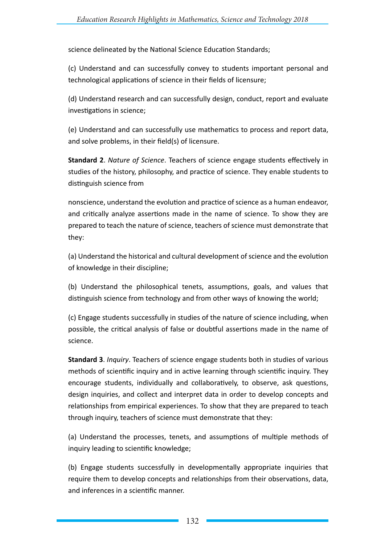science delineated by the National Science Education Standards;

(c) Understand and can successfully convey to students important personal and technological applications of science in their fields of licensure;

(d) Understand research and can successfully design, conduct, report and evaluate investigations in science;

(e) Understand and can successfully use mathematics to process and report data, and solve problems, in their field(s) of licensure.

**Standard 2**. *Nature of Science*. Teachers of science engage students effectively in studies of the history, philosophy, and practice of science. They enable students to distinguish science from

nonscience, understand the evolution and practice of science as a human endeavor, and critically analyze assertions made in the name of science. To show they are prepared to teach the nature of science, teachers of science must demonstrate that they:

(a) Understand the historical and cultural development of science and the evolution of knowledge in their discipline;

(b) Understand the philosophical tenets, assumptions, goals, and values that distinguish science from technology and from other ways of knowing the world;

(c) Engage students successfully in studies of the nature of science including, when possible, the critical analysis of false or doubtful assertions made in the name of science.

**Standard 3**. *Inquiry*. Teachers of science engage students both in studies of various methods of scientific inquiry and in active learning through scientific inquiry. They encourage students, individually and collaboratively, to observe, ask questions, design inquiries, and collect and interpret data in order to develop concepts and relationships from empirical experiences. To show that they are prepared to teach through inquiry, teachers of science must demonstrate that they:

(a) Understand the processes, tenets, and assumptions of multiple methods of inquiry leading to scientific knowledge;

(b) Engage students successfully in developmentally appropriate inquiries that require them to develop concepts and relationships from their observations, data, and inferences in a scientific manner.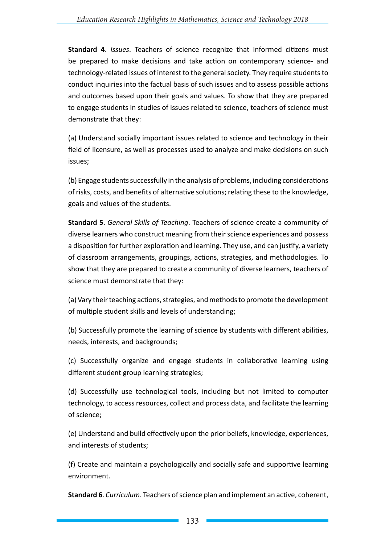**Standard 4**. *Issues*. Teachers of science recognize that informed citizens must be prepared to make decisions and take action on contemporary science- and technology-related issues of interest to the general society. They require students to conduct inquiries into the factual basis of such issues and to assess possible actions and outcomes based upon their goals and values. To show that they are prepared to engage students in studies of issues related to science, teachers of science must demonstrate that they:

(a) Understand socially important issues related to science and technology in their field of licensure, as well as processes used to analyze and make decisions on such issues;

(b) Engage students successfully in the analysis of problems, including considerations of risks, costs, and benefits of alternative solutions; relating these to the knowledge, goals and values of the students.

**Standard 5**. *General Skills of Teaching*. Teachers of science create a community of diverse learners who construct meaning from their science experiences and possess a disposition for further exploration and learning. They use, and can justify, a variety of classroom arrangements, groupings, actions, strategies, and methodologies. To show that they are prepared to create a community of diverse learners, teachers of science must demonstrate that they:

(a) Vary their teaching actions, strategies, and methods to promote the development of multiple student skills and levels of understanding;

(b) Successfully promote the learning of science by students with different abilities, needs, interests, and backgrounds;

(c) Successfully organize and engage students in collaborative learning using different student group learning strategies;

(d) Successfully use technological tools, including but not limited to computer technology, to access resources, collect and process data, and facilitate the learning of science;

(e) Understand and build effectively upon the prior beliefs, knowledge, experiences, and interests of students;

(f) Create and maintain a psychologically and socially safe and supportive learning environment.

**Standard 6**. *Curriculum*. Teachers of science plan and implement an active, coherent,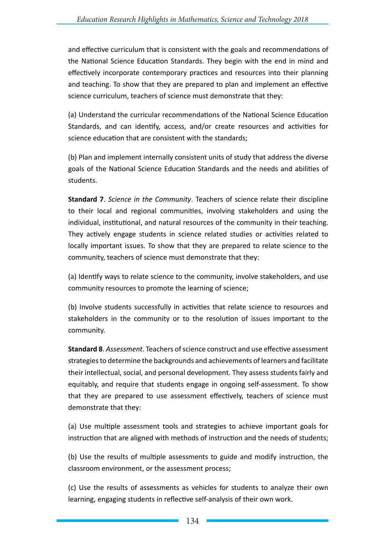and effective curriculum that is consistent with the goals and recommendations of the National Science Education Standards. They begin with the end in mind and effectively incorporate contemporary practices and resources into their planning and teaching. To show that they are prepared to plan and implement an effective science curriculum, teachers of science must demonstrate that they:

(a) Understand the curricular recommendations of the National Science Education Standards, and can identify, access, and/or create resources and activities for science education that are consistent with the standards;

(b) Plan and implement internally consistent units of study that address the diverse goals of the National Science Education Standards and the needs and abilities of students.

**Standard 7**. *Science in the Community*. Teachers of science relate their discipline to their local and regional communities, involving stakeholders and using the individual, institutional, and natural resources of the community in their teaching. They actively engage students in science related studies or activities related to locally important issues. To show that they are prepared to relate science to the community, teachers of science must demonstrate that they:

(a) Identify ways to relate science to the community, involve stakeholders, and use community resources to promote the learning of science;

(b) Involve students successfully in activities that relate science to resources and stakeholders in the community or to the resolution of issues important to the community.

**Standard 8**. *Assessment*. Teachers of science construct and use effective assessment strategies to determine the backgrounds and achievements of learners and facilitate their intellectual, social, and personal development. They assess students fairly and equitably, and require that students engage in ongoing self-assessment. To show that they are prepared to use assessment effectively, teachers of science must demonstrate that they:

(a) Use multiple assessment tools and strategies to achieve important goals for instruction that are aligned with methods of instruction and the needs of students;

(b) Use the results of multiple assessments to guide and modify instruction, the classroom environment, or the assessment process;

(c) Use the results of assessments as vehicles for students to analyze their own learning, engaging students in reflective self-analysis of their own work.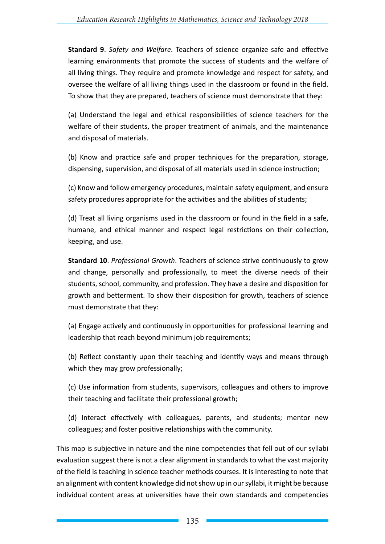**Standard 9**. *Safety and Welfare*. Teachers of science organize safe and effective learning environments that promote the success of students and the welfare of all living things. They require and promote knowledge and respect for safety, and oversee the welfare of all living things used in the classroom or found in the field. To show that they are prepared, teachers of science must demonstrate that they:

(a) Understand the legal and ethical responsibilities of science teachers for the welfare of their students, the proper treatment of animals, and the maintenance and disposal of materials.

(b) Know and practice safe and proper techniques for the preparation, storage, dispensing, supervision, and disposal of all materials used in science instruction;

(c) Know and follow emergency procedures, maintain safety equipment, and ensure safety procedures appropriate for the activities and the abilities of students;

(d) Treat all living organisms used in the classroom or found in the field in a safe, humane, and ethical manner and respect legal restrictions on their collection, keeping, and use.

**Standard 10**. *Professional Growth*. Teachers of science strive continuously to grow and change, personally and professionally, to meet the diverse needs of their students, school, community, and profession. They have a desire and disposition for growth and betterment. To show their disposition for growth, teachers of science must demonstrate that they:

(a) Engage actively and continuously in opportunities for professional learning and leadership that reach beyond minimum job requirements;

(b) Reflect constantly upon their teaching and identify ways and means through which they may grow professionally;

(c) Use information from students, supervisors, colleagues and others to improve their teaching and facilitate their professional growth;

(d) Interact effectively with colleagues, parents, and students; mentor new colleagues; and foster positive relationships with the community.

This map is subjective in nature and the nine competencies that fell out of our syllabi evaluation suggest there is not a clear alignment in standards to what the vast majority of the field is teaching in science teacher methods courses. It is interesting to note that an alignment with content knowledge did not show up in our syllabi, it might be because individual content areas at universities have their own standards and competencies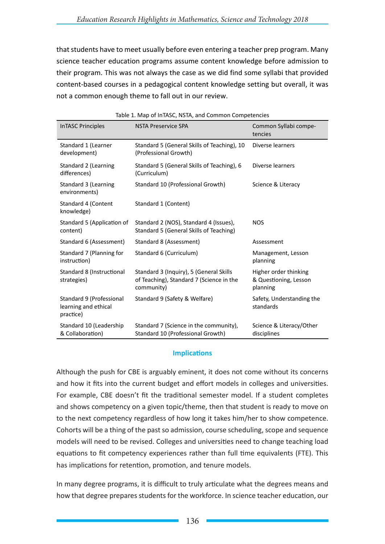that students have to meet usually before even entering a teacher prep program. Many science teacher education programs assume content knowledge before admission to their program. This was not always the case as we did find some syllabi that provided content-based courses in a pedagogical content knowledge setting but overall, it was not a common enough theme to fall out in our review.

| <b>InTASC Principles</b>                                      | <b>NSTA Preservice SPA</b>                                                                        | Common Syllabi compe-<br>tencies                           |
|---------------------------------------------------------------|---------------------------------------------------------------------------------------------------|------------------------------------------------------------|
| Standard 1 (Learner<br>development)                           | Standard 5 (General Skills of Teaching), 10<br>(Professional Growth)                              | Diverse learners                                           |
| Standard 2 (Learning<br>differences)                          | Standard 5 (General Skills of Teaching), 6<br>(Curriculum)                                        | Diverse learners                                           |
| Standard 3 (Learning<br>environments)                         | Standard 10 (Professional Growth)                                                                 | Science & Literacy                                         |
| Standard 4 (Content<br>knowledge)                             | Standard 1 (Content)                                                                              |                                                            |
| Standard 5 (Application of<br>content)                        | Standard 2 (NOS), Standard 4 (Issues),<br>Standard 5 (General Skills of Teaching)                 | <b>NOS</b>                                                 |
| Standard 6 (Assessment)                                       | Standard 8 (Assessment)                                                                           | Assessment                                                 |
| Standard 7 (Planning for<br>instruction)                      | Standard 6 (Curriculum)                                                                           | Management, Lesson<br>planning                             |
| Standard 8 (Instructional<br>strategies)                      | Standard 3 (Inquiry), 5 (General Skills<br>of Teaching), Standard 7 (Science in the<br>community) | Higher order thinking<br>& Questioning, Lesson<br>planning |
| Standard 9 (Professional<br>learning and ethical<br>practice) | Standard 9 (Safety & Welfare)                                                                     | Safety, Understanding the<br>standards                     |
| Standard 10 (Leadership<br>& Collaboration)                   | Standard 7 (Science in the community),<br>Standard 10 (Professional Growth)                       | Science & Literacy/Other<br>disciplines                    |

Table 1. Map of InTASC, NSTA, and Common Competencies

### **Implications**

Although the push for CBE is arguably eminent, it does not come without its concerns and how it fits into the current budget and effort models in colleges and universities. For example, CBE doesn't fit the traditional semester model. If a student completes and shows competency on a given topic/theme, then that student is ready to move on to the next competency regardless of how long it takes him/her to show competence. Cohorts will be a thing of the past so admission, course scheduling, scope and sequence models will need to be revised. Colleges and universities need to change teaching load equations to fit competency experiences rather than full time equivalents (FTE). This has implications for retention, promotion, and tenure models.

In many degree programs, it is difficult to truly articulate what the degrees means and how that degree prepares students for the workforce. In science teacher education, our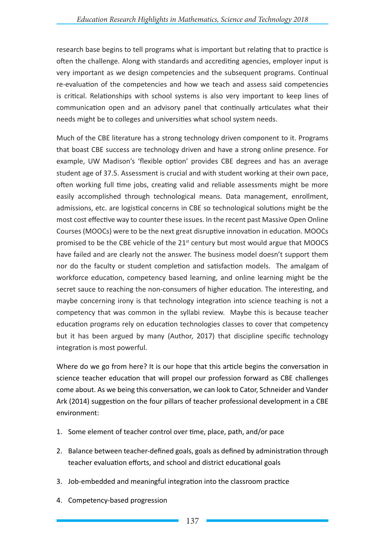research base begins to tell programs what is important but relating that to practice is often the challenge. Along with standards and accrediting agencies, employer input is very important as we design competencies and the subsequent programs. Continual re-evaluation of the competencies and how we teach and assess said competencies is critical. Relationships with school systems is also very important to keep lines of communication open and an advisory panel that continually articulates what their needs might be to colleges and universities what school system needs.

Much of the CBE literature has a strong technology driven component to it. Programs that boast CBE success are technology driven and have a strong online presence. For example, UW Madison's 'flexible option' provides CBE degrees and has an average student age of 37.5. Assessment is crucial and with student working at their own pace, often working full time jobs, creating valid and reliable assessments might be more easily accomplished through technological means. Data management, enrollment, admissions, etc. are logistical concerns in CBE so technological solutions might be the most cost effective way to counter these issues. In the recent past Massive Open Online Courses (MOOCs) were to be the next great disruptive innovation in education. MOOCs promised to be the CBE vehicle of the  $21<sup>st</sup>$  century but most would argue that MOOCS have failed and are clearly not the answer. The business model doesn't support them nor do the faculty or student completion and satisfaction models. The amalgam of workforce education, competency based learning, and online learning might be the secret sauce to reaching the non-consumers of higher education. The interesting, and maybe concerning irony is that technology integration into science teaching is not a competency that was common in the syllabi review. Maybe this is because teacher education programs rely on education technologies classes to cover that competency but it has been argued by many (Author, 2017) that discipline specific technology integration is most powerful.

Where do we go from here? It is our hope that this article begins the conversation in science teacher education that will propel our profession forward as CBE challenges come about. As we being this conversation, we can look to Cator, Schneider and Vander Ark (2014) suggestion on the four pillars of teacher professional development in a CBE environment:

- 1. Some element of teacher control over time, place, path, and/or pace
- 2. Balance between teacher-defined goals, goals as defined by administration through teacher evaluation efforts, and school and district educational goals
- 3. Job-embedded and meaningful integration into the classroom practice
- 4. Competency-based progression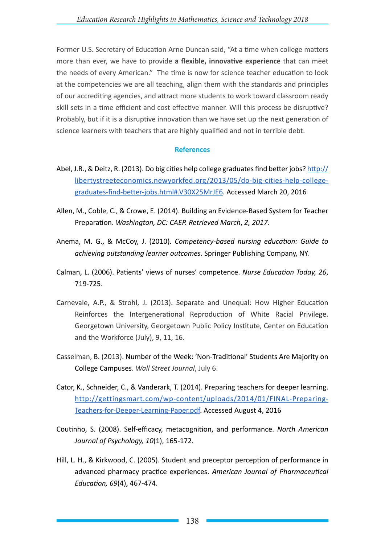Former U.S. Secretary of Education Arne Duncan said, "At a time when college matters more than ever, we have to provide **a flexible, innovative experience** that can meet the needs of every American." The time is now for science teacher education to look at the competencies we are all teaching, align them with the standards and principles of our accrediting agencies, and attract more students to work toward classroom ready skill sets in a time efficient and cost effective manner. Will this process be disruptive? Probably, but if it is a disruptive innovation than we have set up the next generation of science learners with teachers that are highly qualified and not in terrible debt.

### **References**

- Abel, J.R., & Deitz, R. (2013). Do big cities help college graduates find better jobs? http:// libertystreeteconomics.newyorkfed.org/2013/05/do-big-cities-help-collegegraduates-find-better-jobs.html#.V30X25MrJE6. Accessed March 20, 2016
- Allen, M., Coble, C., & Crowe, E. (2014). Building an Evidence-Based System for Teacher Preparation. *Washington, DC: CAEP. Retrieved March*, *2, 2017.*
- Anema, M. G., & McCoy, J. (2010). *Competency-based nursing education: Guide to achieving outstanding learner outcomes*. Springer Publishing Company, NY.
- Calman, L. (2006). Patients' views of nurses' competence. *Nurse Education Today, 26*, 719-725.
- Carnevale, A.P., & Strohl, J. (2013). Separate and Unequal: How Higher Education Reinforces the Intergenerational Reproduction of White Racial Privilege. Georgetown University, Georgetown Public Policy Institute, Center on Education and the Workforce (July), 9, 11, 16.
- Casselman, B. (2013). Number of the Week: 'Non-Traditional' Students Are Majority on College Campuses. *Wall Street Journal*, July 6.
- Cator, K., Schneider, C., & Vanderark, T. (2014). Preparing teachers for deeper learning. http://gettingsmart.com/wp-content/uploads/2014/01/FINAL-Preparing-Teachers-for-Deeper-Learning-Paper.pdf. Accessed August 4, 2016
- Coutinho, S. (2008). Self-efficacy, metacognition, and performance. *North American Journal of Psychology, 10*(1), 165-172.
- Hill, L. H., & Kirkwood, C. (2005). Student and preceptor perception of performance in advanced pharmacy practice experiences. *American Journal of Pharmaceutical Education, 69*(4), 467-474.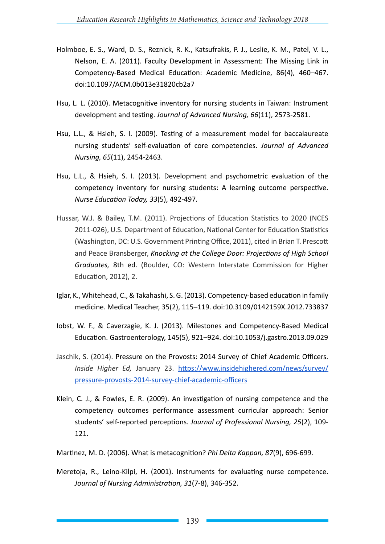- Holmboe, E. S., Ward, D. S., Reznick, R. K., Katsufrakis, P. J., Leslie, K. M., Patel, V. L., Nelson, E. A. (2011). Faculty Development in Assessment: The Missing Link in Competency-Based Medical Education: Academic Medicine, 86(4), 460–467. doi:10.1097/ACM.0b013e31820cb2a7
- Hsu, L. L. (2010). Metacognitive inventory for nursing students in Taiwan: Instrument development and testing. *Journal of Advanced Nursing, 66*(11), 2573-2581.
- Hsu, L.L., & Hsieh, S. I. (2009). Testing of a measurement model for baccalaureate nursing students' self-evaluation of core competencies. *Journal of Advanced Nursing, 65*(11), 2454-2463.
- Hsu, L.L., & Hsieh, S. I. (2013). Development and psychometric evaluation of the competency inventory for nursing students: A learning outcome perspective. *Nurse Education Today, 33*(5), 492-497.
- Hussar, W.J. & Bailey, T.M. (2011). Projections of Education Statistics to 2020 (NCES 2011-026), U.S. Department of Education, National Center for Education Statistics (Washington, DC: U.S. Government Printing Office, 2011), cited in Brian T. Prescott and Peace Bransberger, *Knocking at the College Door: Projections of High School Graduates,* 8th ed. (Boulder, CO: Western Interstate Commission for Higher Education, 2012), 2.
- Iglar, K., Whitehead, C., & Takahashi, S. G. (2013). Competency-based education in family medicine. Medical Teacher, 35(2), 115–119. doi:10.3109/0142159X.2012.733837
- Iobst, W. F., & Caverzagie, K. J. (2013). Milestones and Competency-Based Medical Education. Gastroenterology, 145(5), 921–924. doi:10.1053/j.gastro.2013.09.029
- Jaschik, S. (2014). Pressure on the Provosts: 2014 Survey of Chief Academic Officers. *Inside Higher Ed,* January 23. https://www.insidehighered.com/news/survey/ pressure-provosts-2014-survey-chief-academic-officers
- Klein, C. J., & Fowles, E. R. (2009). An investigation of nursing competence and the competency outcomes performance assessment curricular approach: Senior students' self-reported perceptions. *Journal of Professional Nursing, 25*(2), 109- 121.
- Martinez, M. D. (2006). What is metacognition? *Phi Delta Kappan, 87*(9), 696-699.
- Meretoja, R., Leino-Kilpi, H. (2001). Instruments for evaluating nurse competence. *Journal of Nursing Administration, 31*(7-8), 346-352.